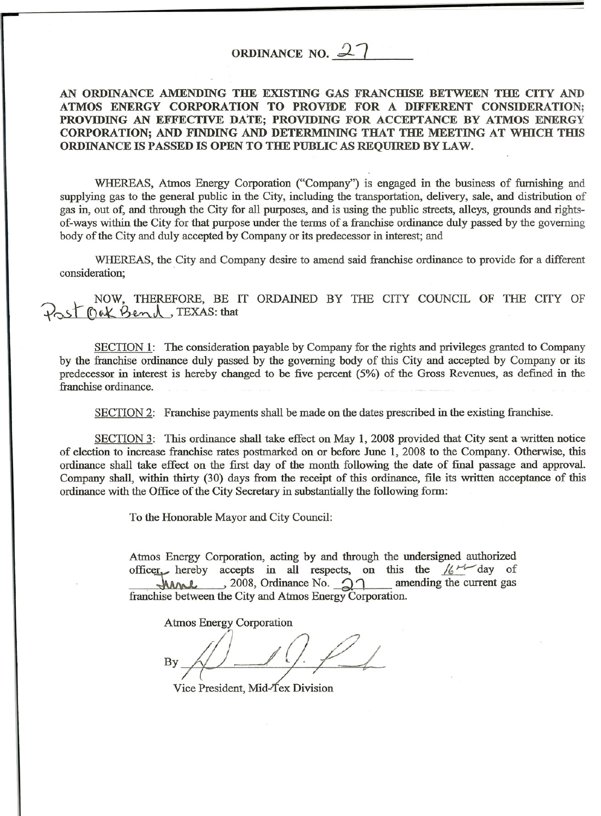## ORDINANCE NO.  $2$

## AN ORDINANCE AMENDING THE EXISTING GAS FRANCHISE BETWEEN THE CITY AND ATMOS ENERGY CORPORATION TO PROVIDE FOR A DIFFERENT CONSIDERATION; PROVIDING AN EFFECTIVE DATE; PROVIDING FOR ACCEPTANCE BY ATMOS ENERGY CORPORATION; AND FINDING AND DETERMINING THAT THE MEETING AT WHICH THIS ORDINANCE IS PASSED IS OPEN TO THE PUBLIC AS REQUIRED BY LAW.

WHEREAS, Atmos Energy Corporation ("Company") is engaged in the business of furnishing and supplying gas to the general public in the City, including the transportation, delivery, sale, and distribution of gas in, out of, and through the City for all purposes, and is using the public streets, alleys, grounds and rightsof-ways within the City for that purpose under the terms of a franchise ordinance duly passed by the governing body of the City and duly accepted by Company or its predecessor in interest; and

WHEREAS, the City and Company desire to amend said franchise ordinance to provide for a different consideration;

*7r.-, NOW, THEREFORE, BE IT ORDAINED BY THE CITY COUNCIL OF THE CITY OF THE CITY OF* 

SECTION 1: The consideration payable by Company for the rights and privileges granted to Company by the franchise ordinance duly passed by the governing body of this City and accepted by Company or its predecessor in interest is hereby changed to be five percent (5%) of the Gross Revenues, as defmed in the franchise ordinance.

SECTION 2: Franchise payments shall be made on the dates prescribed in the existing franchise.

SECTION 3: This ordinance shall take effect on May 1, 2008 provided that City sent a written notice of election to increase franchise rates postmarked on or before June 1, 2008 to the Company. Otherwise, this ordinance shall take effect on the first day of the month following the date of final passage and approval. Company shall, within thirty (30) days from the receipt of this ordinance, file its written acceptance of this ordinance with the Office of the City Secretary in substantially the following form:

To the Honorable Mayor and City Council:

Atmos Energy Corporation, acting by and through the undersigned authorized officer hereby accepts in all respects, on this the  $\frac{1}{6}t^{1/10}$  day of  $MML$ , 2008, Ordinance No.  $\mathfrak{D}$  amending the current gas franchise between the City and Atmos Energy Corporation.

Atmos Energy Corporation

./1 By

Vice President, Mid-